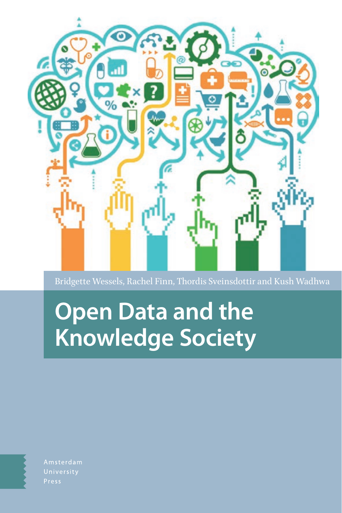

Bridgette Wessels, Rachel Finn, Thordis Sveinsdottir and Kush Wadhwa

# **Open Data and the Knowledge Society**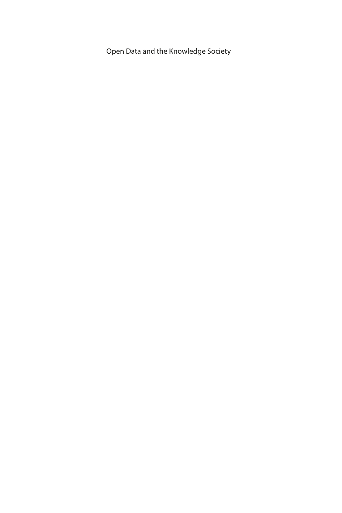Open Data and the Knowledge Society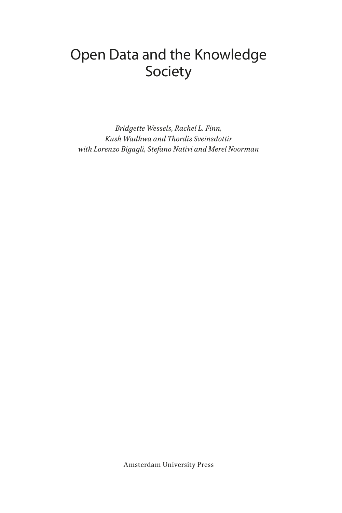## Open Data and the Knowledge Society

*Bridgette Wessels, Rachel L. Finn, Kush Wadhwa and Thordis Sveinsdottir with Lorenzo Bigagli, Stefano Nativi and Merel Noorman*

Amsterdam University Press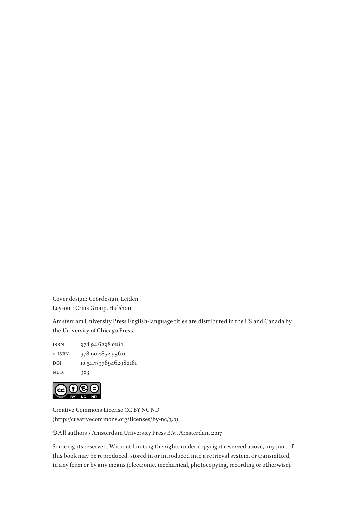Cover design: Coördesign, Leiden Lay-out: Crius Group, Hulshout

Amsterdam University Press English-language titles are distributed in the US and Canada by the University of Chicago Press.

isbn 978 94 6298 018 1 e-isbn 978 90 4852 936 0 DOI 10.5117/9789462980181 nur 983



Creative Commons License CC BY NC ND (http://creativecommons.org/licenses/by-nc/3.0)

All authors / Amsterdam University Press B.V., Amsterdam 2017

Some rights reserved. Without limiting the rights under copyright reserved above, any part of this book may be reproduced, stored in or introduced into a retrieval system, or transmitted, in any form or by any means (electronic, mechanical, photocopying, recording or otherwise).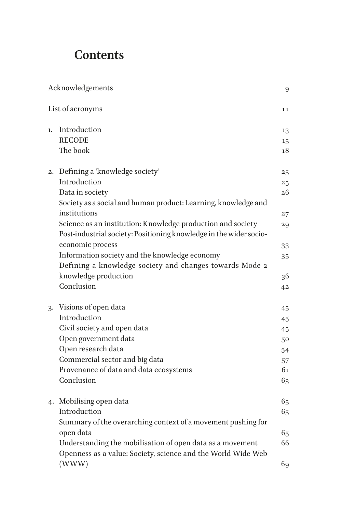## **Contents**

| Acknowledgements |                                                                                                                                   |    |
|------------------|-----------------------------------------------------------------------------------------------------------------------------------|----|
|                  | List of acronyms                                                                                                                  | 11 |
| 1.               | Introduction                                                                                                                      | 13 |
|                  | <b>RECODE</b>                                                                                                                     | 15 |
|                  | The book                                                                                                                          | 18 |
| 2.               | Defining a 'knowledge society'                                                                                                    | 25 |
|                  | Introduction                                                                                                                      | 25 |
|                  | Data in society                                                                                                                   | 26 |
|                  | Society as a social and human product: Learning, knowledge and                                                                    |    |
|                  | institutions                                                                                                                      | 27 |
|                  | Science as an institution: Knowledge production and society<br>Post-industrial society: Positioning knowledge in the wider socio- | 29 |
|                  | economic process                                                                                                                  | 33 |
|                  | Information society and the knowledge economy                                                                                     | 35 |
|                  | Defining a knowledge society and changes towards Mode 2                                                                           |    |
|                  | knowledge production                                                                                                              | 36 |
|                  | Conclusion                                                                                                                        | 42 |
| 3.               | Visions of open data                                                                                                              | 45 |
|                  | Introduction                                                                                                                      | 45 |
|                  | Civil society and open data                                                                                                       | 45 |
|                  | Open government data                                                                                                              | 50 |
|                  | Open research data                                                                                                                | 54 |
|                  | Commercial sector and big data                                                                                                    | 57 |
|                  | Provenance of data and data ecosystems                                                                                            | 61 |
|                  | Conclusion                                                                                                                        | 63 |
|                  | 4. Mobilising open data                                                                                                           | 65 |
|                  | Introduction                                                                                                                      | 65 |
|                  | Summary of the overarching context of a movement pushing for                                                                      |    |
|                  | open data                                                                                                                         | 65 |
|                  | Understanding the mobilisation of open data as a movement<br>Openness as a value: Society, science and the World Wide Web         | 66 |
|                  | (WWW)                                                                                                                             | 69 |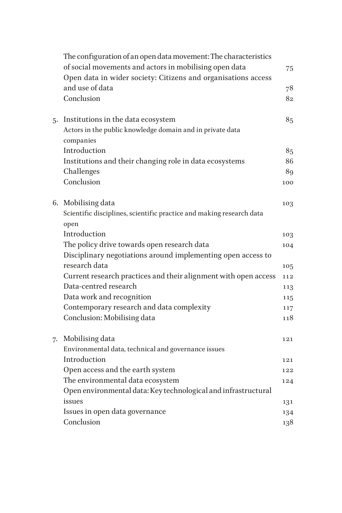|    | The configuration of an open data movement: The characteristics        |     |
|----|------------------------------------------------------------------------|-----|
|    | of social movements and actors in mobilising open data                 | 75  |
|    | Open data in wider society: Citizens and organisations access          |     |
|    | and use of data                                                        | 78  |
|    | Conclusion                                                             | 82  |
|    | 5. Institutions in the data ecosystem                                  | 85  |
|    | Actors in the public knowledge domain and in private data<br>companies |     |
|    | Introduction                                                           | 85  |
|    | Institutions and their changing role in data ecosystems                | 86  |
|    | Challenges                                                             | 89  |
|    | Conclusion                                                             | 100 |
|    | 6. Mobilising data                                                     | 103 |
|    | Scientific disciplines, scientific practice and making research data   |     |
|    | open                                                                   |     |
|    | Introduction                                                           | 103 |
|    | The policy drive towards open research data                            | 104 |
|    | Disciplinary negotiations around implementing open access to           |     |
|    | research data                                                          | 105 |
|    | Current research practices and their alignment with open access        | 112 |
|    | Data-centred research                                                  | 113 |
|    | Data work and recognition                                              | 115 |
|    | Contemporary research and data complexity                              | 117 |
|    | Conclusion: Mobilising data                                            | 118 |
| 7. | Mobilising data                                                        | 121 |
|    | Environmental data, technical and governance issues                    |     |
|    | Introduction                                                           | 121 |
|    | Open access and the earth system                                       | 122 |
|    | The environmental data ecosystem                                       | 124 |
|    | Open environmental data: Key technological and infrastructural         |     |
|    | issues                                                                 | 131 |
|    | Issues in open data governance                                         | 134 |
|    | Conclusion                                                             | 138 |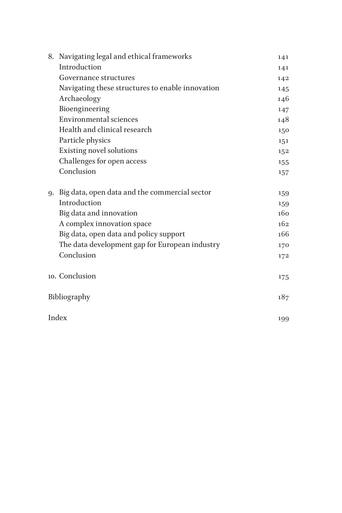|              | 8. Navigating legal and ethical frameworks       | 141 |
|--------------|--------------------------------------------------|-----|
|              | Introduction                                     | 141 |
|              | Governance structures                            | 142 |
|              | Navigating these structures to enable innovation | 145 |
|              | Archaeology                                      | 146 |
|              | Bioengineering                                   | 147 |
|              | Environmental sciences                           | 148 |
|              | Health and clinical research                     | 150 |
|              | Particle physics                                 | 151 |
|              | <b>Existing novel solutions</b>                  | 152 |
|              | Challenges for open access                       | 155 |
|              | Conclusion                                       | 157 |
| 9.           | Big data, open data and the commercial sector    | 159 |
|              | Introduction                                     | 159 |
|              | Big data and innovation                          | 160 |
|              | A complex innovation space                       | 162 |
|              | Big data, open data and policy support           | 166 |
|              | The data development gap for European industry   | 170 |
|              | Conclusion                                       | 172 |
|              | 10. Conclusion                                   | 175 |
|              |                                                  |     |
| Bibliography |                                                  | 187 |
|              | Index                                            | 199 |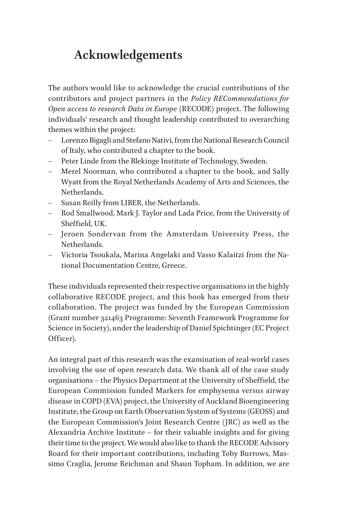## <span id="page-9-0"></span>**Acknowledgements**

The authors would like to acknowledge the crucial contributions of the contributors and project partners in the *Policy RECommendations for Open access to research Data in Europe* (RECODE) project. The following individuals' research and thought leadership contributed to overarching themes within the project:

- Lorenzo Bigagli and Stefano Nativi, from the National Research Council of Italy, who contributed a chapter to the book.
- Peter Linde from the Blekinge Institute of Technology, Sweden.
- Merel Noorman, who contributed a chapter to the book, and Sally Wyatt from the Royal Netherlands Academy of Arts and Sciences, the Netherlands.
- Susan Reilly from LIBER, the Netherlands.
- Rod Smallwood, Mark J. Taylor and Lada Price, from the University of Sheffield, UK.
- Jeroen Sondervan from the Amsterdam University Press, the Netherlands.
- Victoria Tsoukala, Marina Angelaki and Vasso Kalaitzi from the National Documentation Centre, Greece.

These individuals represented their respective organisations in the highly collaborative RECODE project, and this book has emerged from their collaboration. The project was funded by the European Commission (Grant number 321463 Programme: Seventh Framework Programme for Science in Society), under the leadership of Daniel Spichtinger (EC Project Officer).

An integral part of this research was the examination of real-world cases involving the use of open research data. We thank all of the case study organisations – the Physics Department at the University of Sheffield, the European Commission funded Markers for emphysema versus airway disease in COPD (EVA) project, the University of Auckland Bioengineering Institute, the Group on Earth Observation System of Systems (GEOSS) and the European Commission's Joint Research Centre (JRC) as well as the Alexandria Archive Institute – for their valuable insights and for giving their time to the project. We would also like to thank the RECODE Advisory Board for their important contributions, including Toby Burrows, Massimo Craglia, Jerome Reichman and Shaun Topham. In addition, we are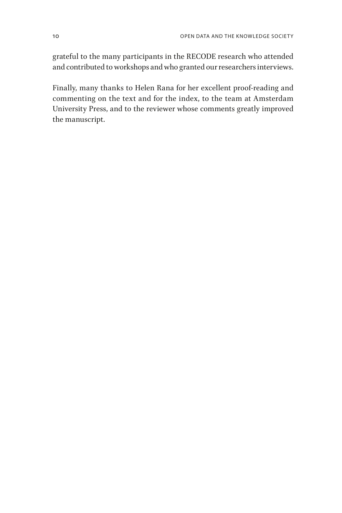grateful to the many participants in the RECODE research who attended and contributed to workshops and who granted our researchers interviews.

Finally, many thanks to Helen Rana for her excellent proof-reading and commenting on the text and for the index, to the team at Amsterdam University Press, and to the reviewer whose comments greatly improved the manuscript.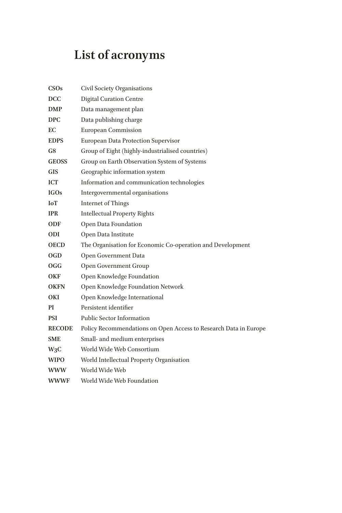## <span id="page-11-0"></span>**List of acronyms**

| CSOs          | Civil Society Organisations                                      |
|---------------|------------------------------------------------------------------|
| <b>DCC</b>    | <b>Digital Curation Centre</b>                                   |
| <b>DMP</b>    | Data management plan                                             |
| <b>DPC</b>    | Data publishing charge                                           |
| EС            | <b>European Commission</b>                                       |
| <b>EDPS</b>   | <b>European Data Protection Supervisor</b>                       |
| G8            | Group of Eight (highly-industrialised countries)                 |
| <b>GEOSS</b>  | Group on Earth Observation System of Systems                     |
| GIS           | Geographic information system                                    |
| <b>ICT</b>    | Information and communication technologies                       |
| <b>IGOs</b>   | Intergovernmental organisations                                  |
| IоT           | <b>Internet of Things</b>                                        |
| <b>IPR</b>    | <b>Intellectual Property Rights</b>                              |
| <b>ODF</b>    | Open Data Foundation                                             |
| <b>ODI</b>    | Open Data Institute                                              |
| <b>OECD</b>   | The Organisation for Economic Co-operation and Development       |
| <b>OGD</b>    | Open Government Data                                             |
| OGG           | Open Government Group                                            |
| <b>OKF</b>    | Open Knowledge Foundation                                        |
| <b>OKFN</b>   | Open Knowledge Foundation Network                                |
| OKI           | Open Knowledge International                                     |
| PI            | Persistent identifier                                            |
| <b>PSI</b>    | Public Sector Information                                        |
| <b>RECODE</b> | Policy Recommendations on Open Access to Research Data in Europe |
| <b>SME</b>    | Small- and medium enterprises                                    |
| $W_3C$        | World Wide Web Consortium                                        |
| <b>WIPO</b>   | World Intellectual Property Organisation                         |
| <b>WWW</b>    | World Wide Web                                                   |
| WWWF          | World Wide Web Foundation                                        |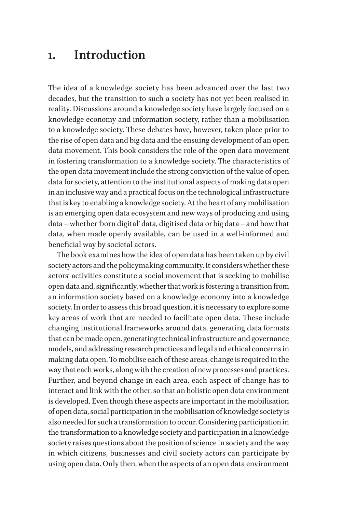### <span id="page-13-0"></span>**1. Introduction**

The idea of a knowledge society has been advanced over the last two decades, but the transition to such a society has not yet been realised in reality. Discussions around a knowledge society have largely focused on a knowledge economy and information society, rather than a mobilisation to a knowledge society. These debates have, however, taken place prior to the rise of open data and big data and the ensuing development of an open data movement. This book considers the role of the open data movement in fostering transformation to a knowledge society. The characteristics of the open data movement include the strong conviction of the value of open data for society, attention to the institutional aspects of making data open in an inclusive way and a practical focus on the technological infrastructure that is key to enabling a knowledge society. At the heart of any mobilisation is an emerging open data ecosystem and new ways of producing and using data – whether 'born digital' data, digitised data or big data – and how that data, when made openly available, can be used in a well-informed and beneficial way by societal actors.

The book examines how the idea of open data has been taken up by civil society actors and the policymaking community. It considers whether these actors' activities constitute a social movement that is seeking to mobilise open data and, significantly, whether that work is fostering a transition from an information society based on a knowledge economy into a knowledge society. In order to assess this broad question, it is necessary to explore some key areas of work that are needed to facilitate open data. These include changing institutional frameworks around data, generating data formats that can be made open, generating technical infrastructure and governance models, and addressing research practices and legal and ethical concerns in making data open. To mobilise each of these areas, change is required in the way that each works, along with the creation of new processes and practices. Further, and beyond change in each area, each aspect of change has to interact and link with the other, so that an holistic open data environment is developed. Even though these aspects are important in the mobilisation of open data, social participation in the mobilisation of knowledge society is also needed for such a transformation to occur. Considering participation in the transformation to a knowledge society and participation in a knowledge society raises questions about the position of science in society and the way in which citizens, businesses and civil society actors can participate by using open data. Only then, when the aspects of an open data environment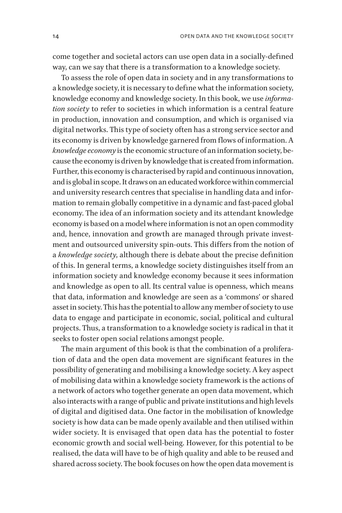come together and societal actors can use open data in a socially-defined way, can we say that there is a transformation to a knowledge society.

To assess the role of open data in society and in any transformations to a knowledge society, it is necessary to define what the information society, knowledge economy and knowledge society. In this book, we use *information society* to refer to societies in which information is a central feature in production, innovation and consumption, and which is organised via digital networks. This type of society often has a strong service sector and its economy is driven by knowledge garnered from flows of information. A *knowledge economy* is the economic structure of an information society, because the economy is driven by knowledge that is created from information. Further, this economy is characterised by rapid and continuous innovation, and is global in scope. It draws on an educated workforce within commercial and university research centres that specialise in handling data and information to remain globally competitive in a dynamic and fast-paced global economy. The idea of an information society and its attendant knowledge economy is based on a model where information is not an open commodity and, hence, innovation and growth are managed through private investment and outsourced university spin-outs. This differs from the notion of a *knowledge society*, although there is debate about the precise definition of this. In general terms, a knowledge society distinguishes itself from an information society and knowledge economy because it sees information and knowledge as open to all. Its central value is openness, which means that data, information and knowledge are seen as a 'commons' or shared asset in society. This has the potential to allow any member of society to use data to engage and participate in economic, social, political and cultural projects. Thus, a transformation to a knowledge society is radical in that it seeks to foster open social relations amongst people.

The main argument of this book is that the combination of a proliferation of data and the open data movement are significant features in the possibility of generating and mobilising a knowledge society. A key aspect of mobilising data within a knowledge society framework is the actions of a network of actors who together generate an open data movement, which also interacts with a range of public and private institutions and high levels of digital and digitised data. One factor in the mobilisation of knowledge society is how data can be made openly available and then utilised within wider society. It is envisaged that open data has the potential to foster economic growth and social well-being. However, for this potential to be realised, the data will have to be of high quality and able to be reused and shared across society. The book focuses on how the open data movement is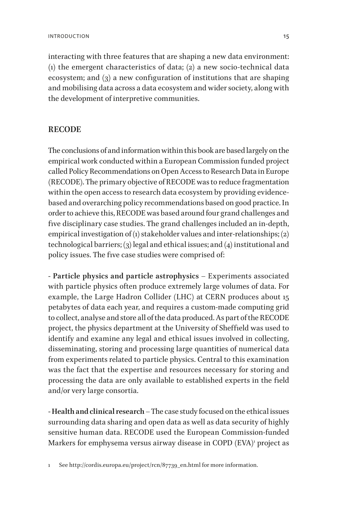<span id="page-15-0"></span>interacting with three features that are shaping a new data environment: (1) the emergent characteristics of data; (2) a new socio-technical data ecosystem; and (3) a new configuration of institutions that are shaping and mobilising data across a data ecosystem and wider society, along with the development of interpretive communities.

### **RECODE**

The conclusions of and information within this book are based largely on the empirical work conducted within a European Commission funded project called Policy Recommendations on Open Access to Research Data in Europe (RECODE). The primary objective of RECODE was to reduce fragmentation within the open access to research data ecosystem by providing evidencebased and overarching policy recommendations based on good practice. In order to achieve this, RECODE was based around four grand challenges and five disciplinary case studies. The grand challenges included an in-depth, empirical investigation of (1) stakeholder values and inter-relationships; (2) technological barriers; (3) legal and ethical issues; and (4) institutional and policy issues. The five case studies were comprised of:

**- Particle physics and particle astrophysics** – Experiments associated with particle physics often produce extremely large volumes of data. For example, the Large Hadron Collider (LHC) at CERN produces about 15 petabytes of data each year, and requires a custom-made computing grid to collect, analyse and store all of the data produced. As part of the RECODE project, the physics department at the University of Sheffield was used to identify and examine any legal and ethical issues involved in collecting, disseminating, storing and processing large quantities of numerical data from experiments related to particle physics. Central to this examination was the fact that the expertise and resources necessary for storing and processing the data are only available to established experts in the field and/or very large consortia.

**- Health and clinical research** – The case study focused on the ethical issues surrounding data sharing and open data as well as data security of highly sensitive human data. RECODE used the European Commission-funded Markers for emphysema versus airway disease in COPD (EVA)<sup>,</sup> project as

1 See http://cordis.europa.eu/project/rcn/87739\_en.html for more information.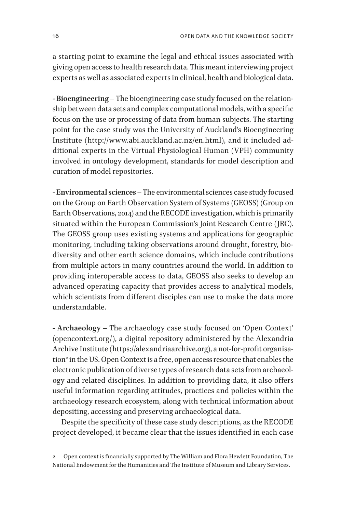a starting point to examine the legal and ethical issues associated with giving open access to health research data. This meant interviewing project experts as well as associated experts in clinical, health and biological data.

**- Bioengineering** – The bioengineering case study focused on the relationship between data sets and complex computational models, with a specific focus on the use or processing of data from human subjects. The starting point for the case study was the University of Auckland's Bioengineering Institute (http://www.abi.auckland.ac.nz/en.html), and it included additional experts in the Virtual Physiological Human (VPH) community involved in ontology development, standards for model description and curation of model repositories.

**- Environmental sciences** – The environmental sciences case study focused on the Group on Earth Observation System of Systems (GEOSS) (Group on Earth Observations, 2014) and the RECODE investigation, which is primarily situated within the European Commission's Joint Research Centre (JRC). The GEOSS group uses existing systems and applications for geographic monitoring, including taking observations around drought, forestry, biodiversity and other earth science domains, which include contributions from multiple actors in many countries around the world. In addition to providing interoperable access to data, GEOSS also seeks to develop an advanced operating capacity that provides access to analytical models, which scientists from different disciples can use to make the data more understandable.

**- Archaeology** – The archaeology case study focused on 'Open Context' (opencontext.org/), a digital repository administered by the Alexandria Archive Institute (https://alexandriaarchive.org), a not-for-profit organisation<sup>2</sup> in the US. Open Context is a free, open access resource that enables the electronic publication of diverse types of research data sets from archaeology and related disciplines. In addition to providing data, it also offers useful information regarding attitudes, practices and policies within the archaeology research ecosystem, along with technical information about depositing, accessing and preserving archaeological data.

Despite the specificity of these case study descriptions, as the RECODE project developed, it became clear that the issues identified in each case

2 Open context is financially supported by The William and Flora Hewlett Foundation, The National Endowment for the Humanities and The Institute of Museum and Library Services.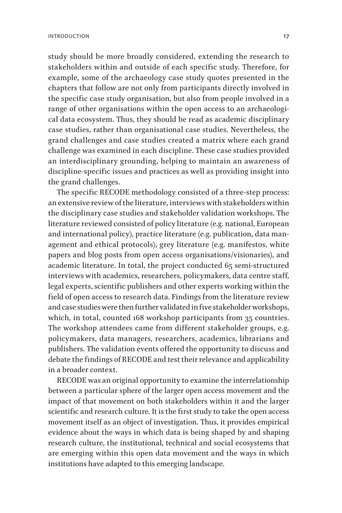study should be more broadly considered, extending the research to stakeholders within and outside of each specific study. Therefore, for example, some of the archaeology case study quotes presented in the chapters that follow are not only from participants directly involved in the specific case study organisation, but also from people involved in a range of other organisations within the open access to an archaeological data ecosystem. Thus, they should be read as academic disciplinary case studies, rather than organisational case studies. Nevertheless, the grand challenges and case studies created a matrix where each grand challenge was examined in each discipline. These case studies provided an interdisciplinary grounding, helping to maintain an awareness of discipline-specific issues and practices as well as providing insight into the grand challenges.

The specific RECODE methodology consisted of a three-step process: an extensive review of the literature, interviews with stakeholders within the disciplinary case studies and stakeholder validation workshops. The literature reviewed consisted of policy literature (e.g. national, European and international policy), practice literature (e.g. publication, data management and ethical protocols), grey literature (e.g. manifestos, white papers and blog posts from open access organisations/visionaries), and academic literature. In total, the project conducted 65 semi-structured interviews with academics, researchers, policymakers, data centre staff, legal experts, scientific publishers and other experts working within the field of open access to research data. Findings from the literature review and case studies were then further validated in five stakeholder workshops, which, in total, counted 168 workshop participants from 35 countries. The workshop attendees came from different stakeholder groups, e.g. policymakers, data managers, researchers, academics, librarians and publishers. The validation events offered the opportunity to discuss and debate the findings of RECODE and test their relevance and applicability in a broader context.

RECODE was an original opportunity to examine the interrelationship between a particular sphere of the larger open access movement and the impact of that movement on both stakeholders within it and the larger scientific and research culture. It is the first study to take the open access movement itself as an object of investigation. Thus, it provides empirical evidence about the ways in which data is being shaped by and shaping research culture, the institutional, technical and social ecosystems that are emerging within this open data movement and the ways in which institutions have adapted to this emerging landscape.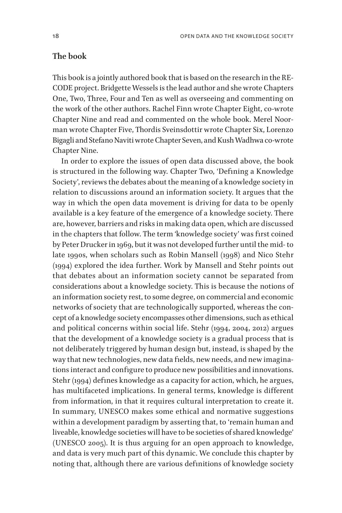#### <span id="page-18-0"></span>**The book**

This book is a jointly authored book that is based on the research in the RE-CODE project. Bridgette Wessels is the lead author and she wrote Chapters One, Two, Three, Four and Ten as well as overseeing and commenting on the work of the other authors. Rachel Finn wrote Chapter Eight, co-wrote Chapter Nine and read and commented on the whole book. Merel Noorman wrote Chapter Five, Thordis Sveinsdottir wrote Chapter Six, Lorenzo Bigagli and Stefano Naviti wrote Chapter Seven, and Kush Wadhwa co-wrote Chapter Nine.

In order to explore the issues of open data discussed above, the book is structured in the following way. Chapter Two, 'Defining a Knowledge Society', reviews the debates about the meaning of a knowledge society in relation to discussions around an information society. It argues that the way in which the open data movement is driving for data to be openly available is a key feature of the emergence of a knowledge society. There are, however, barriers and risks in making data open, which are discussed in the chapters that follow. The term 'knowledge society' was first coined by Peter Drucker in 1969, but it was not developed further until the mid- to late 1990s, when scholars such as Robin Mansell (1998) and Nico Stehr (1994) explored the idea further. Work by Mansell and Stehr points out that debates about an information society cannot be separated from considerations about a knowledge society. This is because the notions of an information society rest, to some degree, on commercial and economic networks of society that are technologically supported, whereas the concept of a knowledge society encompasses other dimensions, such as ethical and political concerns within social life. Stehr (1994, 2004, 2012) argues that the development of a knowledge society is a gradual process that is not deliberately triggered by human design but, instead, is shaped by the way that new technologies, new data fields, new needs, and new imaginations interact and configure to produce new possibilities and innovations. Stehr (1994) defines knowledge as a capacity for action, which, he argues, has multifaceted implications. In general terms, knowledge is different from information, in that it requires cultural interpretation to create it. In summary, UNESCO makes some ethical and normative suggestions within a development paradigm by asserting that, to 'remain human and liveable, knowledge societies will have to be societies of shared knowledge' (UNESCO 2005). It is thus arguing for an open approach to knowledge, and data is very much part of this dynamic. We conclude this chapter by noting that, although there are various definitions of knowledge society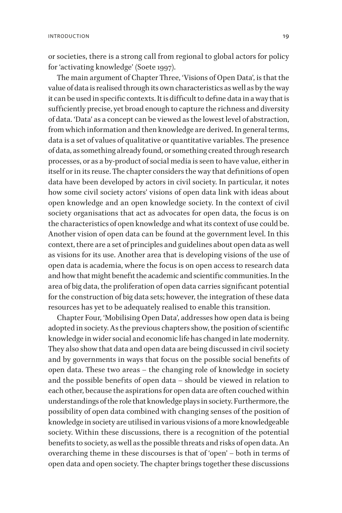or societies, there is a strong call from regional to global actors for policy for 'activating knowledge' (Soete 1997).

The main argument of Chapter Three, 'Visions of Open Data', is that the value of data is realised through its own characteristics as well as by the way it can be used in specific contexts. It is difficult to define data in a way that is sufficiently precise, yet broad enough to capture the richness and diversity of data. 'Data' as a concept can be viewed as the lowest level of abstraction, from which information and then knowledge are derived. In general terms, data is a set of values of qualitative or quantitative variables. The presence of data, as something already found, or something created through research processes, or as a by-product of social media is seen to have value, either in itself or in its reuse. The chapter considers the way that definitions of open data have been developed by actors in civil society. In particular, it notes how some civil society actors' visions of open data link with ideas about open knowledge and an open knowledge society. In the context of civil society organisations that act as advocates for open data, the focus is on the characteristics of open knowledge and what its context of use could be. Another vision of open data can be found at the government level. In this context, there are a set of principles and guidelines about open data as well as visions for its use. Another area that is developing visions of the use of open data is academia, where the focus is on open access to research data and how that might benefit the academic and scientific communities. In the area of big data, the proliferation of open data carries significant potential for the construction of big data sets; however, the integration of these data resources has yet to be adequately realised to enable this transition.

Chapter Four, 'Mobilising Open Data', addresses how open data is being adopted in society. As the previous chapters show, the position of scientific knowledge in wider social and economic life has changed in late modernity. They also show that data and open data are being discussed in civil society and by governments in ways that focus on the possible social benefits of open data. These two areas – the changing role of knowledge in society and the possible benefits of open data – should be viewed in relation to each other, because the aspirations for open data are often couched within understandings of the role that knowledge plays in society. Furthermore, the possibility of open data combined with changing senses of the position of knowledge in society are utilised in various visions of a more knowledgeable society. Within these discussions, there is a recognition of the potential benefits to society, as well as the possible threats and risks of open data. An overarching theme in these discourses is that of 'open' – both in terms of open data and open society. The chapter brings together these discussions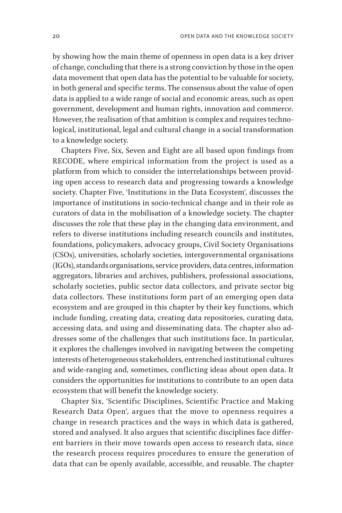by showing how the main theme of openness in open data is a key driver of change, concluding that there is a strong conviction by those in the open data movement that open data has the potential to be valuable for society, in both general and specific terms. The consensus about the value of open data is applied to a wide range of social and economic areas, such as open government, development and human rights, innovation and commerce. However, the realisation of that ambition is complex and requires technological, institutional, legal and cultural change in a social transformation to a knowledge society.

Chapters Five, Six, Seven and Eight are all based upon findings from RECODE, where empirical information from the project is used as a platform from which to consider the interrelationships between providing open access to research data and progressing towards a knowledge society. Chapter Five, 'Institutions in the Data Ecosystem', discusses the importance of institutions in socio-technical change and in their role as curators of data in the mobilisation of a knowledge society. The chapter discusses the role that these play in the changing data environment, and refers to diverse institutions including research councils and institutes, foundations, policymakers, advocacy groups, Civil Society Organisations (CSOs), universities, scholarly societies, intergovernmental organisations (IGOs), standards organisations, service providers, data centres, information aggregators, libraries and archives, publishers, professional associations, scholarly societies, public sector data collectors, and private sector big data collectors. These institutions form part of an emerging open data ecosystem and are grouped in this chapter by their key functions, which include funding, creating data, creating data repositories, curating data, accessing data, and using and disseminating data. The chapter also addresses some of the challenges that such institutions face. In particular, it explores the challenges involved in navigating between the competing interests of heterogeneous stakeholders, entrenched institutional cultures and wide-ranging and, sometimes, conflicting ideas about open data. It considers the opportunities for institutions to contribute to an open data ecosystem that will benefit the knowledge society.

Chapter Six, 'Scientific Disciplines, Scientific Practice and Making Research Data Open', argues that the move to openness requires a change in research practices and the ways in which data is gathered, stored and analysed. It also argues that scientific disciplines face different barriers in their move towards open access to research data, since the research process requires procedures to ensure the generation of data that can be openly available, accessible, and reusable. The chapter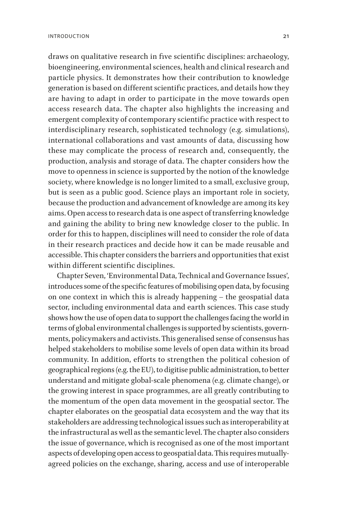draws on qualitative research in five scientific disciplines: archaeology, bioengineering, environmental sciences, health and clinical research and particle physics. It demonstrates how their contribution to knowledge generation is based on different scientific practices, and details how they are having to adapt in order to participate in the move towards open access research data. The chapter also highlights the increasing and emergent complexity of contemporary scientific practice with respect to interdisciplinary research, sophisticated technology (e.g. simulations), international collaborations and vast amounts of data, discussing how these may complicate the process of research and, consequently, the production, analysis and storage of data. The chapter considers how the move to openness in science is supported by the notion of the knowledge society, where knowledge is no longer limited to a small, exclusive group, but is seen as a public good. Science plays an important role in society, because the production and advancement of knowledge are among its key aims. Open access to research data is one aspect of transferring knowledge and gaining the ability to bring new knowledge closer to the public. In order for this to happen, disciplines will need to consider the role of data in their research practices and decide how it can be made reusable and accessible. This chapter considers the barriers and opportunities that exist within different scientific disciplines.

Chapter Seven, 'Environmental Data, Technical and Governance Issues', introduces some of the specific features of mobilising open data, by focusing on one context in which this is already happening – the geospatial data sector, including environmental data and earth sciences. This case study shows how the use of open data to support the challenges facing the world in terms of global environmental challenges is supported by scientists, governments, policymakers and activists. This generalised sense of consensus has helped stakeholders to mobilise some levels of open data within its broad community. In addition, efforts to strengthen the political cohesion of geographical regions (e.g. the EU), to digitise public administration, to better understand and mitigate global-scale phenomena (e.g. climate change), or the growing interest in space programmes, are all greatly contributing to the momentum of the open data movement in the geospatial sector. The chapter elaborates on the geospatial data ecosystem and the way that its stakeholders are addressing technological issues such as interoperability at the infrastructural as well as the semantic level. The chapter also considers the issue of governance, which is recognised as one of the most important aspects of developing open access to geospatial data. This requires mutuallyagreed policies on the exchange, sharing, access and use of interoperable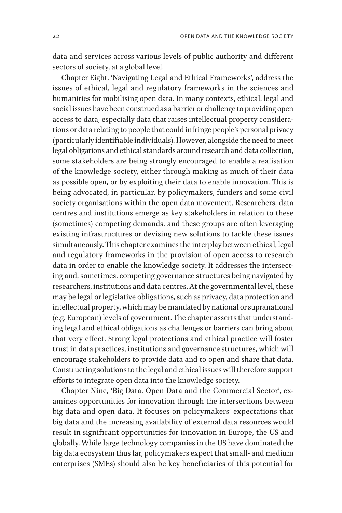data and services across various levels of public authority and different sectors of society, at a global level.

Chapter Eight, 'Navigating Legal and Ethical Frameworks', address the issues of ethical, legal and regulatory frameworks in the sciences and humanities for mobilising open data. In many contexts, ethical, legal and social issues have been construed as a barrier or challenge to providing open access to data, especially data that raises intellectual property considerations or data relating to people that could infringe people's personal privacy (particularly identifiable individuals). However, alongside the need to meet legal obligations and ethical standards around research and data collection, some stakeholders are being strongly encouraged to enable a realisation of the knowledge society, either through making as much of their data as possible open, or by exploiting their data to enable innovation. This is being advocated, in particular, by policymakers, funders and some civil society organisations within the open data movement. Researchers, data centres and institutions emerge as key stakeholders in relation to these (sometimes) competing demands, and these groups are often leveraging existing infrastructures or devising new solutions to tackle these issues simultaneously. This chapter examines the interplay between ethical, legal and regulatory frameworks in the provision of open access to research data in order to enable the knowledge society. It addresses the intersecting and, sometimes, competing governance structures being navigated by researchers, institutions and data centres. At the governmental level, these may be legal or legislative obligations, such as privacy, data protection and intellectual property, which may be mandated by national or supranational (e.g. European) levels of government. The chapter asserts that understanding legal and ethical obligations as challenges or barriers can bring about that very effect. Strong legal protections and ethical practice will foster trust in data practices, institutions and governance structures, which will encourage stakeholders to provide data and to open and share that data. Constructing solutions to the legal and ethical issues will therefore support efforts to integrate open data into the knowledge society.

Chapter Nine, 'Big Data, Open Data and the Commercial Sector', examines opportunities for innovation through the intersections between big data and open data. It focuses on policymakers' expectations that big data and the increasing availability of external data resources would result in significant opportunities for innovation in Europe, the US and globally. While large technology companies in the US have dominated the big data ecosystem thus far, policymakers expect that small- and medium enterprises (SMEs) should also be key beneficiaries of this potential for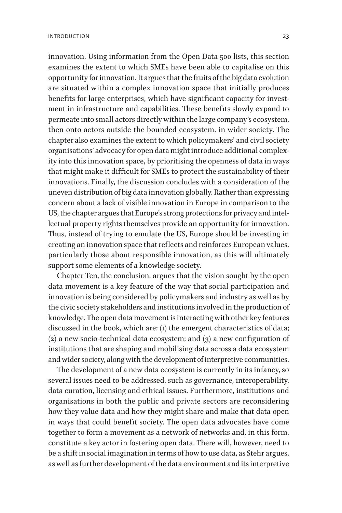innovation. Using information from the Open Data 500 lists, this section examines the extent to which SMEs have been able to capitalise on this opportunity for innovation. It argues that the fruits of the big data evolution are situated within a complex innovation space that initially produces benefits for large enterprises, which have significant capacity for investment in infrastructure and capabilities. These benefits slowly expand to permeate into small actors directly within the large company's ecosystem, then onto actors outside the bounded ecosystem, in wider society. The chapter also examines the extent to which policymakers' and civil society organisations' advocacy for open data might introduce additional complexity into this innovation space, by prioritising the openness of data in ways that might make it difficult for SMEs to protect the sustainability of their innovations. Finally, the discussion concludes with a consideration of the uneven distribution of big data innovation globally. Rather than expressing concern about a lack of visible innovation in Europe in comparison to the US, the chapter argues that Europe's strong protections for privacy and intellectual property rights themselves provide an opportunity for innovation. Thus, instead of trying to emulate the US, Europe should be investing in creating an innovation space that reflects and reinforces European values, particularly those about responsible innovation, as this will ultimately support some elements of a knowledge society.

Chapter Ten, the conclusion, argues that the vision sought by the open data movement is a key feature of the way that social participation and innovation is being considered by policymakers and industry as well as by the civic society stakeholders and institutions involved in the production of knowledge. The open data movement is interacting with other key features discussed in the book, which are: (1) the emergent characteristics of data; (2) a new socio-technical data ecosystem; and (3) a new configuration of institutions that are shaping and mobilising data across a data ecosystem and wider society, along with the development of interpretive communities.

The development of a new data ecosystem is currently in its infancy, so several issues need to be addressed, such as governance, interoperability, data curation, licensing and ethical issues. Furthermore, institutions and organisations in both the public and private sectors are reconsidering how they value data and how they might share and make that data open in ways that could benefit society. The open data advocates have come together to form a movement as a network of networks and, in this form, constitute a key actor in fostering open data. There will, however, need to be a shift in social imagination in terms of how to use data, as Stehr argues, as well as further development of the data environment and its interpretive